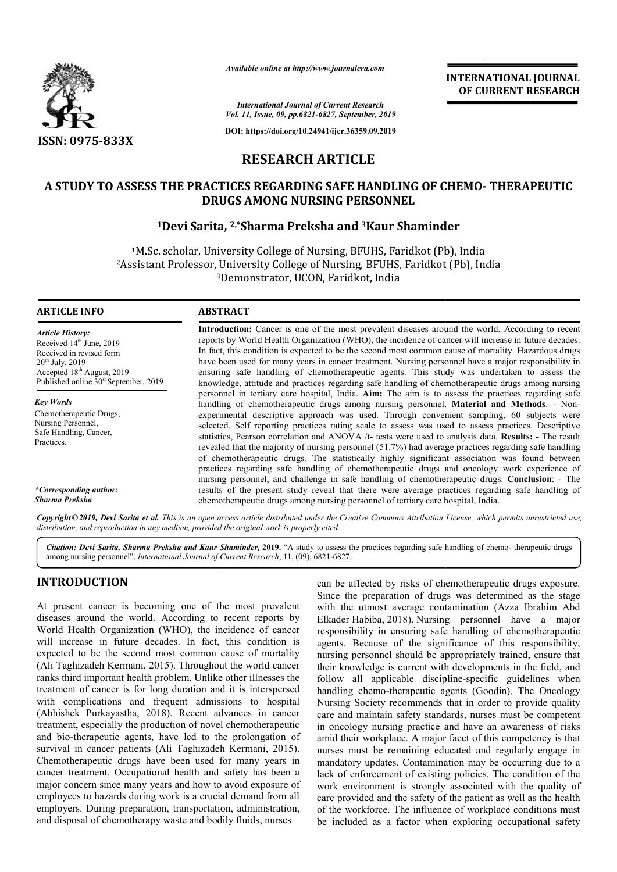

*Available online at http://www.journalcra.com*

*International Journal of Current Research Vol. 11, Issue, 09, pp.6821-6827, September, 2019*

**DOI: https://doi.org/10.24941/ijcr.36359.09.2019**

# **RESEARCH ARTICLE**

# **A STUDY TO ASSESS THE PRACTICES REGARDING SAFE HANDLING OF CHEMO STUDY TO SAFE HANDLING CHEMO- THERAPEUTIC DRUGS AMONG NURSING PERSONNEL**

# **1Devi Sarita, Devi 2,\*Sharma Preksha and** <sup>3</sup>**Kaur Shaminder**

1M.Sc. scholar, University College of Nursing, BFUHS, Faridkot (Pb), India 2Assistant Professor, University College of Nursing, BFUHS, Faridkot (Pb), India <sup>3</sup>Demonstrator, UCON, Faridkot, India <sup>1</sup>M.Sc. scholar, University College of Nursing, BFUHS, Faridkot (Pb), Ind<br>Assistant Professor, University College of Nursing, BFUHS, Faridkot (Pb),<br><sup>3</sup>Demonstrator, UCON, Faridkot, India

### **ARTICLE INFO ABSTRACT**

*Article History:* Received 14<sup>th</sup> June, 2019 Received in revised form  $20^{th}$  July,  $2019$ Accepted 18th August, 2019 Published online  $30<sup>st</sup>$  September, 2019

*Key Words* Chemotherapeutic Drugs, Nursing Personnel, Safe Handling, Cancer, Practices.

*\*Corresponding author: Sharma Preksha*

**Introduction:** Cancer is one of the most prevalent diseases around the world. According to recent reports by World Health Organization (WHO), the incidence of cancer will increase in future decades. In fact, this condition is expected to be the second most common cause of mortality. Hazardous drugs have been used for many years in cancer treatment. Nursing personnel have a major responsibility in ensuring safe handling of chemotherapeutic agents. This study was undertaken to assess the knowledge, attitude and practices regarding safe handling of chemotherapeutic drugs among nursing personnel in tertiary care hospital, India. **Aim:** The aim is to assess the practices regarding safe Introduction: Cancer is one of the most prevalent diseases around the world. According to recent reports by World Health Organization (WHO), the incidence of cancer will increase in future decades. In fact, this condition experimental descriptive approach was used. Through convenient sampling, 60 subjects were selected. Self reporting practices rating scale to assess was used to assess practices. Descriptive statistics, Pearson correlation and ANOVA /t- tests were used to analysis data. revealed that the majority of nursing personnel  $(51.7%)$  had average practices regarding safe handling of chemotherapeutic drugs. The statistically highly significant association was found between practices regarding safe handling of chemotherapeutic drugs and oncology work experience of practices regarding safe handling of chemotherapeutic drugs and oncology work experience of nursing personnel, and challenge in safe handling of chemotherapeutic drugs. **Conclusion**: - The results of the present study reveal that there were average practices regarding safe handling of chemotherapeutic drugs among nursing personnel of tertiary care hospital, India. experimental descriptive approach was used. Through convenient sampling, 60 subjects were selected. Self reporting practices rating scale to assess was used to assess practices. Descriptive statistics, Pearson correlation

Copyright©2019, Devi Sarita et al. This is an open access article distributed under the Creative Commons Attribution License, which permits unrestricted use, *distribution, and reproduction in any medium, provided the original work is properly cited.*

Citation: Devi Sarita, Sharma Preksha and Kaur Shaminder, 2019. "A study to assess the practices regarding safe handling of chemo- therapeutic drugs among nursing personnel", *International Journal of Current Research*, 11, (09), 6821-6827.

# **INTRODUCTION**

At present cancer is becoming one of the most prevalent diseases around the world. According to recent reports by World Health Organization (WHO), the incidence of cancer will increase in future decades. In fact, this condition is expected to be the second most common cause of mortality (Ali Taghizadeh Kermani, 2015). Throughout the world cancer ranks third important health problem. Unlike other illnesses the treatment of cancer is for long duration and it is interspersed with complications and frequent admissions to hospital (Abhishek Purkayastha, 2018). Recent advances in cancer treatment, especially the production of novel chemotherapeutic and bio-therapeutic agents, have led to the prolongation of survival in cancer patients (Ali Taghizadeh Kermani, 2015). Chemotherapeutic drugs have been used for many years in cancer treatment. Occupational health and safety has been a major concern since many years and how to avoid exposure of employees to hazards during work is a crucial demand from all employers. During preparation, transportation, administration, and disposal of chemotherapy waste and bodily fluids, nurses nt, especially the production of novel chemotherapeutic<br>o-therapeutic agents, have led to the prolongation of<br>l in cancer patients (Ali Taghizadeh Kermani, 2015).

coming one of the most prevalent<br>
since the preparation of drugs was determined as the stage<br>
dd. According to recent reports by<br>
likhteder Habiba, 2018). Nursing personnel have a major<br>
no (WHO), the incidence of cancer<br> Since the preparation of drugs was determined as the stage with the utmost average contamination (Azza Ibrahim Abd Elkader Habiba, 2018). Nursing personnel have a major responsibility in ensuring safe handling of chemotherapeutic agents. Because of the significance of this responsibility, nursing personnel should be appropriately trained, ensure that their knowledge is current with developments in the field, and follow all applicable discipline-specific guidelines when handling chemo-therapeutic agents (Goodin). The Oncology Nursing Society recommends that in order to provide quality care and maintain safety standards, nurses must be competent in oncology nursing practice and have an awareness of risks amid their workplace. A major facet of this competency is that nurses must be remaining educated and regularly engage in mandatory updates. Contamination may be occurring due to a Nursing Society recommends that in order to provide quality care and maintain safety standards, nurses must be competent in oncology nursing practice and have an awareness of risks amid their workplace. A major facet of th work environment is strongly associated with the quality of care provided and the safety of the patient as well as the health of the workforce. The influence of workplace conditions must be included as a factor when exploring occupational safety can be affected by risks of chemotherapeutic drugs exposure. agents. Because of the significance of this responsibility, nursing personnel should be appropriately trained, ensure that their knowledge is current with developments in the field, and follow all applicable discipline-spe **INTERNATIONAL JOURNAL FORM CONTINUM CONTINUM CONTINUM CONTINUM CONTINUM CONTINUM CONTINUM CONTINUM CONTINUM CONTINUM CONTINUM CONTINUM CONTINUM CONTINUM CONTINUM CONTINUM CONTINUM CONTINUM CONTINUM CONTINUM CONTINUM CONT**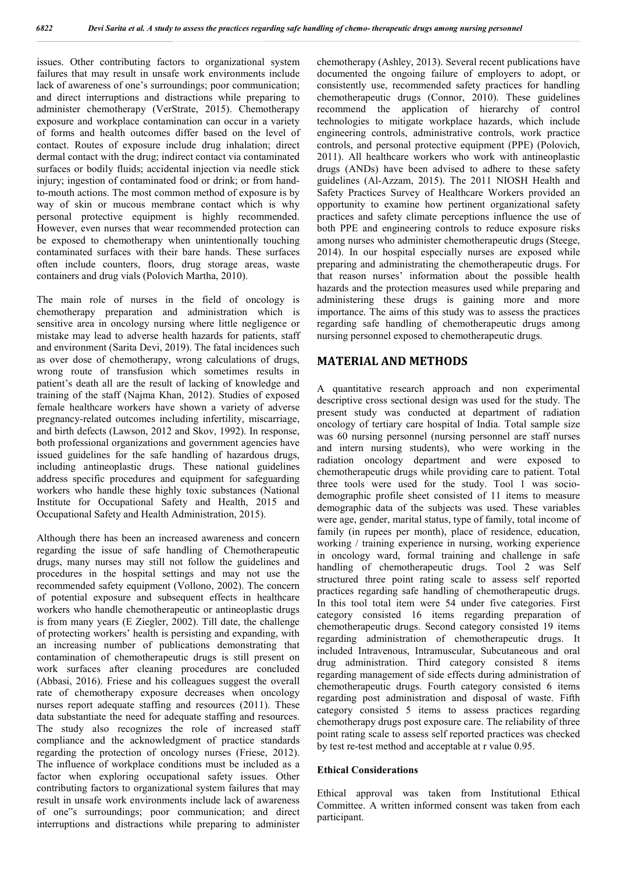issues. Other contributing factors to organizational system failures that may result in unsafe work environments include lack of awareness of one's surroundings; poor communication; and direct interruptions and distractions while preparing to administer chemotherapy (VerStrate, 2015). Chemotherapy exposure and workplace contamination can occur in a variety of forms and health outcomes differ based on the level of contact. Routes of exposure include drug inhalation; direct dermal contact with the drug; indirect contact via contaminated surfaces or bodily fluids; accidental injection via needle stick injury; ingestion of contaminated food or drink; or from handto-mouth actions. The most common method of exposure is by way of skin or mucous membrane contact which is why personal protective equipment is highly recommended. However, even nurses that wear recommended protection can be exposed to chemotherapy when unintentionally touching contaminated surfaces with their bare hands. These surfaces often include counters, floors, drug storage areas, waste containers and drug vials (Polovich Martha, 2010).

The main role of nurses in the field of oncology is chemotherapy preparation and administration which is sensitive area in oncology nursing where little negligence or mistake may lead to adverse health hazards for patients, staff and environment (Sarita Devi, 2019). The fatal incidences such as over dose of chemotherapy, wrong calculations of drugs, wrong route of transfusion which sometimes results in patient's death all are the result of lacking of knowledge and training of the staff (Najma Khan, 2012). Studies of exposed female healthcare workers have shown a variety of adverse pregnancy-related outcomes including infertility, miscarriage, and birth defects (Lawson, 2012 and Skov, 1992). In response, both professional organizations and government agencies have issued guidelines for the safe handling of hazardous drugs, including antineoplastic drugs. These national guidelines address specific procedures and equipment for safeguarding workers who handle these highly toxic substances (National Institute for Occupational Safety and Health, 2015 and Occupational Safety and Health Administration, 2015).

Although there has been an increased awareness and concern regarding the issue of safe handling of Chemotherapeutic drugs, many nurses may still not follow the guidelines and procedures in the hospital settings and may not use the recommended safety equipment (Vollono, 2002). The concern of potential exposure and subsequent effects in healthcare workers who handle chemotherapeutic or antineoplastic drugs is from many years (E Ziegler, 2002). Till date, the challenge of protecting workers' health is persisting and expanding, with an increasing number of publications demonstrating that contamination of chemotherapeutic drugs is still present on work surfaces after cleaning procedures are concluded (Abbasi, 2016). Friese and his colleagues suggest the overall rate of chemotherapy exposure decreases when oncology nurses report adequate staffing and resources (2011). These data substantiate the need for adequate staffing and resources. The study also recognizes the role of increased staff compliance and the acknowledgment of practice standards regarding the protection of oncology nurses (Friese, 2012). The influence of workplace conditions must be included as a factor when exploring occupational safety issues. Other contributing factors to organizational system failures that may result in unsafe work environments include lack of awareness of one"s surroundings; poor communication; and direct interruptions and distractions while preparing to administer

chemotherapy (Ashley, 2013). Several recent publications have documented the ongoing failure of employers to adopt, or consistently use, recommended safety practices for handling chemotherapeutic drugs (Connor, 2010). These guidelines recommend the application of hierarchy of control technologies to mitigate workplace hazards, which include engineering controls, administrative controls, work practice controls, and personal protective equipment (PPE) (Polovich, 2011). All healthcare workers who work with antineoplastic drugs (ANDs) have been advised to adhere to these safety guidelines (Al-Azzam, 2015). The 2011 NIOSH Health and Safety Practices Survey of Healthcare Workers provided an opportunity to examine how pertinent organizational safety practices and safety climate perceptions influence the use of both PPE and engineering controls to reduce exposure risks among nurses who administer chemotherapeutic drugs (Steege, 2014). In our hospital especially nurses are exposed while preparing and administrating the chemotherapeutic drugs. For that reason nurses' information about the possible health hazards and the protection measures used while preparing and administering these drugs is gaining more and more importance. The aims of this study was to assess the practices regarding safe handling of chemotherapeutic drugs among nursing personnel exposed to chemotherapeutic drugs.

# **MATERIAL AND METHODS**

A quantitative research approach and non experimental descriptive cross sectional design was used for the study. The present study was conducted at department of radiation oncology of tertiary care hospital of India. Total sample size was 60 nursing personnel (nursing personnel are staff nurses and intern nursing students), who were working in the radiation oncology department and were exposed to chemotherapeutic drugs while providing care to patient. Total three tools were used for the study. Tool 1 was sociodemographic profile sheet consisted of 11 items to measure demographic data of the subjects was used. These variables were age, gender, marital status, type of family, total income of family (in rupees per month), place of residence, education, working / training experience in nursing, working experience in oncology ward, formal training and challenge in safe handling of chemotherapeutic drugs. Tool 2 was Self structured three point rating scale to assess self reported practices regarding safe handling of chemotherapeutic drugs. In this tool total item were 54 under five categories. First category consisted 16 items regarding preparation of chemotherapeutic drugs. Second category consisted 19 items regarding administration of chemotherapeutic drugs. It included Intravenous, Intramuscular, Subcutaneous and oral drug administration. Third category consisted 8 items regarding management of side effects during administration of chemotherapeutic drugs. Fourth category consisted 6 items regarding post administration and disposal of waste. Fifth category consisted 5 items to assess practices regarding chemotherapy drugs post exposure care. The reliability of three point rating scale to assess self reported practices was checked by test re-test method and acceptable at r value 0.95.

#### **Ethical Considerations**

Ethical approval was taken from Institutional Ethical Committee. A written informed consent was taken from each participant.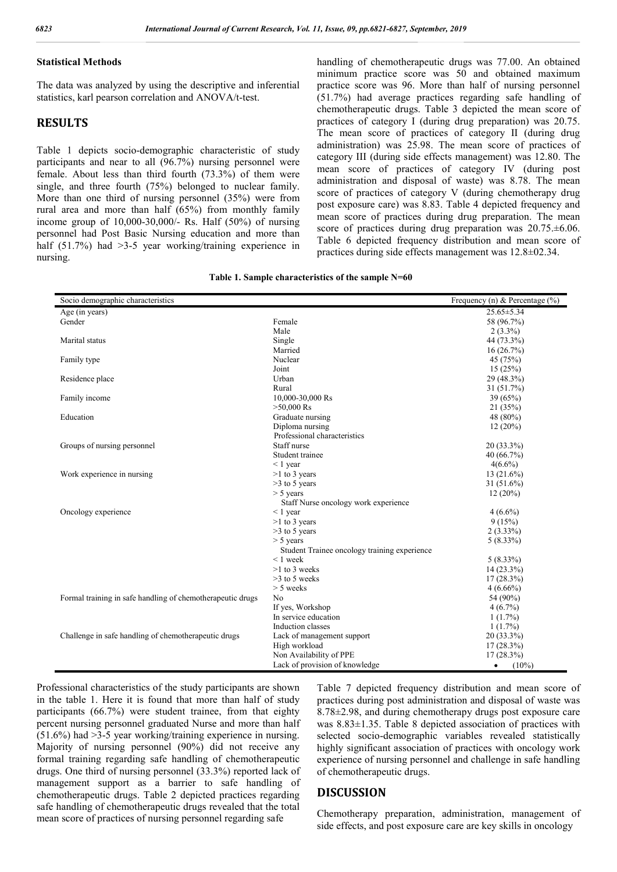# **Statistical Methods**

The data was analyzed by using the descriptive and inferential statistics, karl pearson correlation and ANOVA/t-test.

# **RESULTS**

Table 1 depicts socio-demographic characteristic of study participants and near to all (96.7%) nursing personnel were female. About less than third fourth (73.3%) of them were single, and three fourth (75%) belonged to nuclear family. More than one third of nursing personnel (35%) were from rural area and more than half (65%) from monthly family income group of 10,000-30,000/- Rs. Half (50%) of nursing personnel had Post Basic Nursing education and more than half (51.7%) had > 3-5 year working/training experience in nursing.

handling of chemotherapeutic drugs was 77.00. An obtained minimum practice score was 50 and obtained maximum practice score was 96. More than half of nursing personnel (51.7%) had average practices regarding safe handling of chemotherapeutic drugs. Table 3 depicted the mean score of practices of category I (during drug preparation) was 20.75. The mean score of practices of category II (during drug administration) was 25.98. The mean score of practices of category III (during side effects management) was 12.80. The mean score of practices of category IV (during post administration and disposal of waste) was 8.78. The mean score of practices of category V (during chemotherapy drug post exposure care) was 8.83. Table 4 depicted frequency and mean score of practices during drug preparation. The mean score of practices during drug preparation was  $20.75 \pm 6.06$ . Table 6 depicted frequency distribution and mean score of practices during side effects management was 12.8±02.34.

|  |  | Table 1. Sample characteristics of the sample N=60 |  |  |  |
|--|--|----------------------------------------------------|--|--|--|
|--|--|----------------------------------------------------|--|--|--|

| Socio demographic characteristics                          |                                              | Frequency (n) & Percentage $(\% )$ |
|------------------------------------------------------------|----------------------------------------------|------------------------------------|
| Age (in years)                                             |                                              | $25.65 \pm 5.34$                   |
| Gender                                                     | Female                                       | 58 (96.7%)                         |
|                                                            | Male                                         | $2(3.3\%)$                         |
| Marital status                                             | Single                                       | 44 (73.3%)                         |
|                                                            | Married                                      | 16(26.7%)                          |
| Family type                                                | Nuclear                                      | 45 (75%)                           |
|                                                            | Joint                                        | 15(25%)                            |
| Residence place                                            | Urban                                        | 29 (48.3%)                         |
|                                                            | Rural                                        | 31(51.7%)                          |
| Family income                                              | 10,000-30,000 Rs                             | 39 (65%)                           |
|                                                            | $>50,000$ Rs                                 | 21 (35%)                           |
| Education                                                  | Graduate nursing                             | 48 (80%)                           |
|                                                            | Diploma nursing                              | $12(20\%)$                         |
|                                                            | Professional characteristics                 |                                    |
| Groups of nursing personnel                                | Staff nurse                                  | $20(33.3\%)$                       |
|                                                            | Student trainee                              | 40 $(66.7\%)$                      |
|                                                            | $\leq 1$ year                                | $4(6.6\%)$                         |
| Work experience in nursing                                 | $>1$ to 3 years                              | $13(21.6\%)$                       |
|                                                            | $>3$ to 5 years                              | $31(51.6\%)$                       |
|                                                            | $> 5$ years                                  | 12(20%)                            |
|                                                            | Staff Nurse oncology work experience         |                                    |
| Oncology experience                                        | $\leq 1$ year                                | $4(6.6\%)$                         |
|                                                            | $>1$ to 3 years                              | 9(15%)                             |
|                                                            | $>3$ to 5 years                              | $2(3.33\%)$                        |
|                                                            | $> 5$ years                                  | $5(8.33\%)$                        |
|                                                            | Student Trainee oncology training experience |                                    |
|                                                            | $< 1$ week                                   | $5(8.33\%)$                        |
|                                                            | $>1$ to 3 weeks                              | $14(23.3\%)$                       |
|                                                            | $>3$ to 5 weeks                              | $17(28.3\%)$                       |
|                                                            | $> 5$ weeks                                  | $4(6.66\%)$                        |
| Formal training in safe handling of chemotherapeutic drugs | N <sub>0</sub>                               | 54 (90%)                           |
|                                                            | If yes, Workshop                             | $4(6.7\%)$                         |
|                                                            | In service education                         | $1(1.7\%)$                         |
|                                                            | Induction classes                            | $1(1.7\%)$                         |
| Challenge in safe handling of chemotherapeutic drugs       | Lack of management support                   | 20 (33.3%)                         |
|                                                            | High workload                                | $17(28.3\%)$                       |
|                                                            | Non Availability of PPE                      | $17(28.3\%)$                       |
|                                                            | Lack of provision of knowledge               | $(10\%)$<br>$\bullet$              |

Professional characteristics of the study participants are shown in the table 1. Here it is found that more than half of study participants (66.7%) were student trainee, from that eighty percent nursing personnel graduated Nurse and more than half (51.6%) had >3-5 year working/training experience in nursing. Majority of nursing personnel (90%) did not receive any formal training regarding safe handling of chemotherapeutic drugs. One third of nursing personnel (33.3%) reported lack of management support as a barrier to safe handling of chemotherapeutic drugs. Table 2 depicted practices regarding safe handling of chemotherapeutic drugs revealed that the total mean score of practices of nursing personnel regarding safe

Table 7 depicted frequency distribution and mean score of practices during post administration and disposal of waste was 8.78±2.98, and during chemotherapy drugs post exposure care was 8.83±1.35. Table 8 depicted association of practices with selected socio-demographic variables revealed statistically highly significant association of practices with oncology work experience of nursing personnel and challenge in safe handling of chemotherapeutic drugs.

# **DISCUSSION**

Chemotherapy preparation, administration, management of side effects, and post exposure care are key skills in oncology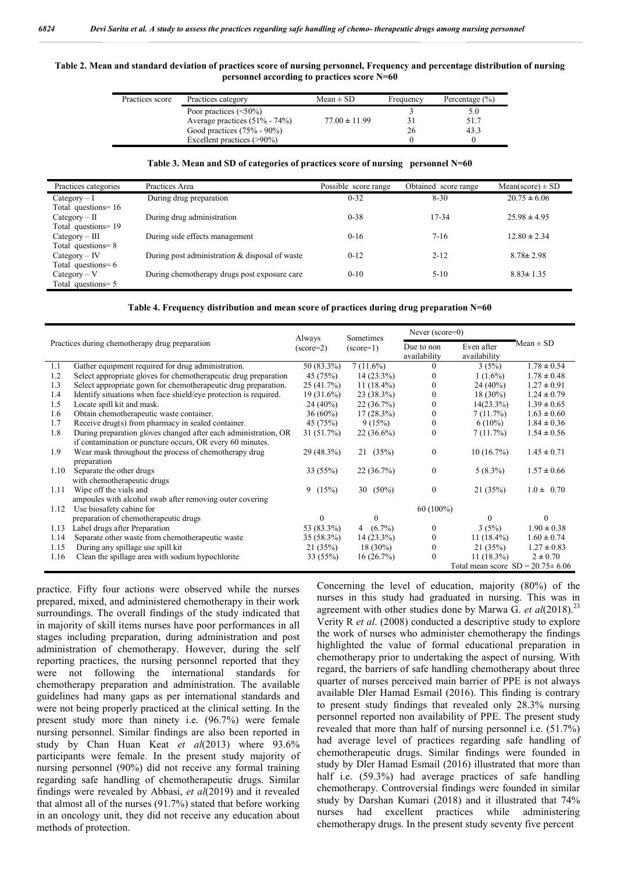#### **Table 2. Mean and standard deviation of practices score of nursing personnel, Frequency and percentage distribution of nursing personnel according to practices score N=60**

| Practices score | Practices category                | $Mean \pm SD$     | Frequency | Percentage $(\% )$ |
|-----------------|-----------------------------------|-------------------|-----------|--------------------|
|                 | Poor practices $(\leq 50\%)$      |                   |           | 5.0                |
|                 | Average practices $(51\% - 74\%)$ | $77.00 \pm 11.99$ |           | 51.7               |
|                 | Good practices $(75% - 90%)$      |                   | 26        | 43.3               |
|                 | Excellent practices $(>90\%)$     |                   |           |                    |

#### **Table 3. Mean and SD of categories of practices score of nursing personnel N=60**

| Practices categories  | Practices Area                                 | Possible score range | Obtained score range | $Mean(score) \pm SD$ |
|-----------------------|------------------------------------------------|----------------------|----------------------|----------------------|
| $Category - I$        | During drug preparation                        | $0 - 32$             | $8 - 30$             | $20.75 \pm 6.06$     |
| Total questions = 16  |                                                |                      |                      |                      |
| $Category - II$       | During drug administration                     | $0 - 38$             | 17-34                | $25.98 \pm 4.95$     |
| Total questions=19    |                                                |                      |                      |                      |
| $Category - III$      | During side effects management                 | $0-16$               | $7-16$               | $12.80 \pm 2.34$     |
| Total questions=8     |                                                |                      |                      |                      |
| $Category - IV$       | During post administration & disposal of waste | $0 - 12$             | $2 - 12$             | $8.78 \pm 2.98$      |
| Total questions = $6$ |                                                |                      |                      |                      |
| $Category - V$        | During chemotherapy drugs post exposure care   | $0 - 10$             | $5-10$               | $8.83 \pm 1.35$      |
| Total questions= 5    |                                                |                      |                      |                      |

#### **Table 4. Frequency distribution and mean score of practices during drug preparation N=60**

|      |                                                                  | Always       | Sometimes          | Never $(score=0)$ |               |                                        |
|------|------------------------------------------------------------------|--------------|--------------------|-------------------|---------------|----------------------------------------|
|      | Practices during chemotherapy drug preparation                   | $(score=2)$  | $(\text{score}=1)$ | Due to non        | Even after    | $Mean \pm SD$                          |
|      |                                                                  |              |                    | availability      | availability  |                                        |
| 1.1  | Gather equipment required for drug administration.               | 50 (83.3%)   | $7(11.6\%)$        | $\Omega$          | 3(5%)         | $1.78 \pm 0.54$                        |
| 1.2  | Select appropriate gloves for chemotherapeutic drug preparation  | 45 (75%)     | $14(23.3\%)$       |                   | $1(1.6\%)$    | $1.78 \pm 0.48$                        |
| 1.3  | Select appropriate gown for chemotherapeutic drug preparation.   | 25(41.7%)    | 11 $(18.4\%)$      |                   | $24(40\%)$    | $1.27 \pm 0.91$                        |
| 1.4  | Identify situations when face shield/eye protection is required. | $19(31.6\%)$ | $23(38.3\%)$       |                   | $18(30\%)$    | $1.24 \pm 0.79$                        |
| 1.5  | Locate spill kit and mask.                                       | $24(40\%)$   | 22(36.7%)          | $\Omega$          | $14(23.3\%)$  | $1.39 \pm 0.65$                        |
| 1.6  | Obtain chemotherapeutic waste container.                         | $36(60\%)$   | $17(28.3\%)$       | $\Omega$          | 7(11.7%)      | $1.63 \pm 0.60$                        |
| 1.7  | Receive drug(s) from pharmacy in sealed container.               | 45 (75%)     | 9(15%)             | $\theta$          | $6(10\%)$     | $1.84 \pm 0.36$                        |
| 1.8  | During preparation gloves changed after each administration, OR  | $31(51.7\%)$ | $22(36.6\%)$       |                   | 7(11.7%)      | $1.54 \pm 0.56$                        |
|      | if contamination or puncture occurs, OR every 60 minutes.        |              |                    |                   |               |                                        |
| 1.9  | Wear mask throughout the process of chemotherapy drug            | 29 (48.3%)   | 21(35%)            | $\theta$          | $10(16.7\%)$  | $1.45 \pm 0.71$                        |
|      | preparation                                                      |              |                    |                   |               |                                        |
| 1.10 | Separate the other drugs                                         | 33(55%)      | 22(36.7%)          | $\theta$          | $5(8.3\%)$    | $1.57 \pm 0.66$                        |
|      | with chemotherapeutic drugs                                      |              |                    |                   |               |                                        |
| 1.11 | Wipe off the vials and                                           | 9(15%)       | 30 $(50\%)$        | $\mathbf{0}$      | 21(35%)       | $1.0 \pm 0.70$                         |
|      | ampoules with alcohol swab after removing outer covering         |              |                    |                   |               |                                        |
| 1.12 | Use biosafety cabine for                                         |              |                    | $60(100\%)$       |               |                                        |
|      | preparation of chemotherapeutic drugs                            | 0            | $\theta$           |                   | $\Omega$      | $\Omega$                               |
| 1.13 | Label drugs after Preparation                                    | 53 (83.3%)   | 4 $(6.7\%)$        | $\Omega$          | 3(5%)         | $1.90 \pm 0.38$                        |
| 1.14 | Separate other waste from chemotherapeutic waste                 | 35 (58.3%)   | $14(23.3\%)$       | $\Omega$          | 11 $(18.4\%)$ | $1.60 \pm 0.74$                        |
|      |                                                                  |              |                    |                   |               |                                        |
| 1.15 | During any spillage use spill kit                                | 21(35%)      | $18(30\%)$         | $\Omega$          | 21(35%)       | $1.27 \pm 0.83$                        |
| 1.16 | Clean the spillage area with sodium hypochlorite                 | 33 (55%)     | 16(26.7%)          |                   | $11(18.3\%)$  | $2 \pm 0.70$                           |
|      |                                                                  |              |                    |                   |               | Total mean score $SD = 20.75 \pm 6.06$ |

practice. Fifty four actions were observed while the nurses prepared, mixed, and administered chemotherapy in their work surroundings. The overall findings of the study indicated that in majority of skill items nurses have poor performances in all stages including preparation, during administration and post administration of chemotherapy. However, during the self reporting practices, the nursing personnel reported that they were not following the international standards for chemotherapy preparation and administration. The available guidelines had many gaps as per international standards and were not being properly practiced at the clinical setting. In the present study more than ninety i.e. (96.7%) were female nursing personnel. Similar findings are also been reported in study by Chan Huan Keat *et al*(2013) where 93.6% participants were female. In the present study majority of nursing personnel (90%) did not receive any formal training regarding safe handling of chemotherapeutic drugs. Similar findings were revealed by Abbasi, *et al*(2019) and it revealed that almost all of the nurses (91.7%) stated that before working in an oncology unit, they did not receive any education about methods of protection.

Concerning the level of education, majority (80%) of the nurses in this study had graduated in nursing. This was in agreement with other studies done by Marwa G. et al(2018).<sup>23</sup> Verity R *et al*. (2008) conducted a descriptive study to explore the work of nurses who administer chemotherapy the findings highlighted the value of formal educational preparation in chemotherapy prior to undertaking the aspect of nursing. With regard, the barriers of safe handling chemotherapy about three quarter of nurses perceived main barrier of PPE is not always available Dler Hamad Esmail (2016). This finding is contrary to present study findings that revealed only 28.3% nursing personnel reported non availability of PPE. The present study revealed that more than half of nursing personnel i.e. (51.7%) had average level of practices regarding safe handling of chemotherapeutic drugs. Similar findings were founded in study by Dler Hamad Esmail (2016) illustrated that more than half i.e. (59.3%) had average practices of safe handling chemotherapy. Controversial findings were founded in similar study by Darshan Kumari (2018) and it illustrated that 74% nurses had excellent practices while administering chemotherapy drugs. In the present study seventy five percent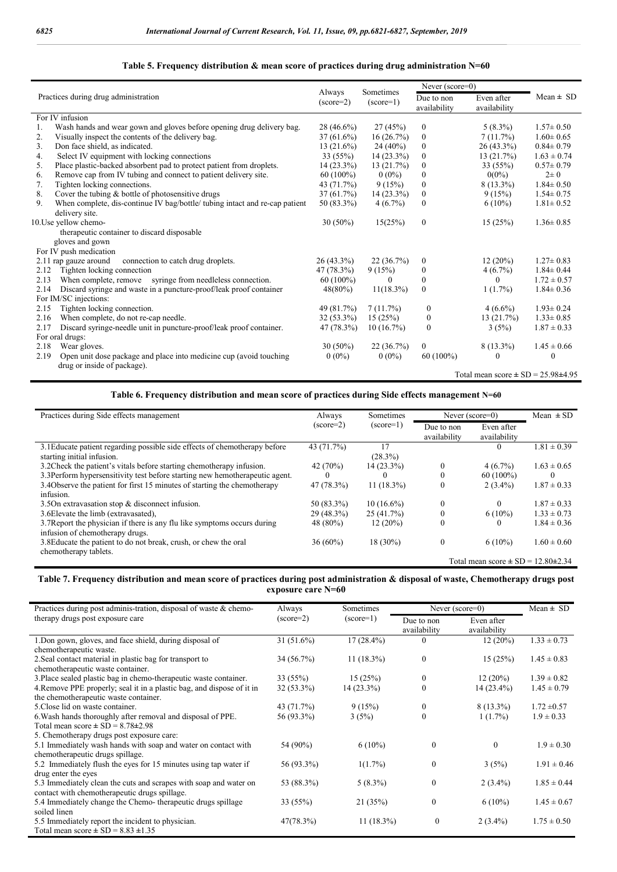### **Table 5. Frequency distribution & mean score of practices during drug administration N=60**

|      |                                                                             | Always       | Sometimes          | Never (score=0)  |                                              |                 |
|------|-----------------------------------------------------------------------------|--------------|--------------------|------------------|----------------------------------------------|-----------------|
|      | Practices during drug administration                                        | $(score=2)$  | $(\text{score}=1)$ | Due to non       | Even after                                   | Mean $\pm$ SD   |
|      |                                                                             |              |                    | availability     | availability                                 |                 |
|      | For IV infusion                                                             |              |                    |                  |                                              |                 |
| 1.   | Wash hands and wear gown and gloves before opening drug delivery bag.       | 28 (46.6%)   | 27(45%)            | $\boldsymbol{0}$ | $5(8.3\%)$                                   | $1.57 \pm 0.50$ |
| 2.   | Visually inspect the contents of the delivery bag.                          | $37(61.6\%)$ | 16(26.7%)          | $\boldsymbol{0}$ | 7(11.7%)                                     | $1.60 \pm 0.65$ |
| 3.   | Don face shield, as indicated.                                              | $13(21.6\%)$ | $24(40\%)$         | $\mathbf{0}$     | $26(43.3\%)$                                 | $0.84 \pm 0.79$ |
| 4.   | Select IV equipment with locking connections                                | 33(55%)      | $14(23.3\%)$       | $\boldsymbol{0}$ | 13(21.7%)                                    | $1.63 \pm 0.74$ |
| 5.   | Place plastic-backed absorbent pad to protect patient from droplets.        | $14(23.3\%)$ | 13(21.7%)          | $\mathbf{0}$     | 33(55%)                                      | $0.57 \pm 0.79$ |
| 6.   | Remove cap from IV tubing and connect to patient delivery site.             | $60(100\%)$  | $0(0\%)$           | $\Omega$         | $0(0\%)$                                     | $2\pm 0$        |
| 7.   | Tighten locking connections.                                                | 43 (71.7%)   | 9(15%)             | $\boldsymbol{0}$ | $8(13.3\%)$                                  | $1.84 \pm 0.50$ |
| 8.   | Cover the tubing $&$ bottle of photosensitive drugs                         | 37(61.7%)    | $14(23.3\%)$       | $\mathbf{0}$     | 9(15%)                                       | $1.54 \pm 0.75$ |
| 9.   | When complete, dis-continue IV bag/bottle/ tubing intact and re-cap patient | 50 (83.3%)   | $4(6.7\%)$         | $\mathbf{0}$     | $6(10\%)$                                    | $1.81 \pm 0.52$ |
|      | delivery site.                                                              |              |                    |                  |                                              |                 |
|      | 10. Use yellow chemo-                                                       | $30(50\%)$   | 15(25%)            | $\mathbf{0}$     | 15(25%)                                      | $1.36 \pm 0.85$ |
|      | therapeutic container to discard disposable                                 |              |                    |                  |                                              |                 |
|      | gloves and gown                                                             |              |                    |                  |                                              |                 |
|      | For IV push medication                                                      |              |                    |                  |                                              |                 |
|      | 2.11 rap gauze around<br>connection to catch drug droplets.                 | $26(43.3\%)$ | 22(36.7%)          | $\mathbf{0}$     | $12(20\%)$                                   | $1.27 \pm 0.83$ |
| 2.12 | Tighten locking connection                                                  | 47 (78.3%)   | 9(15%)             | $\boldsymbol{0}$ | 4(6.7%)                                      | $1.84 \pm 0.44$ |
| 2.13 | When complete, remove syringe from needleless connection.                   | $60(100\%)$  | $\Omega$           | $\mathbf{0}$     | 0                                            | $1.72 \pm 0.57$ |
| 2.14 | Discard syringe and waste in a puncture-proof/leak proof container          | $48(80\%)$   | $11(18.3\%)$       | $\mathbf{0}$     | $1(1.7\%)$                                   | $1.84 \pm 0.36$ |
|      | For IM/SC injections:                                                       |              |                    |                  |                                              |                 |
| 2.15 | Tighten locking connection.                                                 | 49 (81.7%)   | 7(11.7%)           | $\mathbf{0}$     | $4(6.6\%)$                                   | $1.93 \pm 0.24$ |
| 2.16 | When complete, do not re-cap needle.                                        | $32(53.3\%)$ | 15(25%)            | $\boldsymbol{0}$ | 13(21.7%)                                    | $1.33 \pm 0.85$ |
| 2.17 | Discard syringe-needle unit in puncture-proof/leak proof container.         | 47 (78.3%)   | $10(16.7\%)$       | $\theta$         | 3(5%)                                        | $1.87 \pm 0.33$ |
|      | For oral drugs:                                                             |              |                    |                  |                                              |                 |
| 2.18 | Wear gloves.                                                                | $30(50\%)$   | 22(36.7%)          | $\mathbf{0}$     | $8(13.3\%)$                                  | $1.45 \pm 0.66$ |
| 2.19 | Open unit dose package and place into medicine cup (avoid touching          | $0(0\%)$     | $0(0\%)$           | $60(100\%)$      | 0                                            | 0               |
|      | drug or inside of package).                                                 |              |                    |                  |                                              |                 |
|      |                                                                             |              |                    |                  | Total mean score $\pm$ SD = 25.98 $\pm$ 4.95 |                 |

## **Table 6. Frequency distribution and mean score of practices during Side effects management N=60**

| Practices during Side effects management                                                                    | Always      | Sometimes     | Never $(score=0)$          |                                              | Mean $\pm$ SD   |
|-------------------------------------------------------------------------------------------------------------|-------------|---------------|----------------------------|----------------------------------------------|-----------------|
|                                                                                                             | $(score=2)$ | $(score=1)$   | Due to non<br>availability | Even after<br>availability                   |                 |
| 3.1 Educate patient regarding possible side effects of chemotherapy before<br>starting initial infusion.    | 43 (71.7%)  | 17<br>(28.3%) |                            |                                              | $1.81 \pm 0.39$ |
| 3.2 Check the patient's vitals before starting chemotherapy infusion.                                       | 42 (70%)    | $14(23.3\%)$  | $\mathbf{0}$               | $4(6.7\%)$                                   | $1.63 \pm 0.65$ |
| 3.3 Perform hypersensitivity test before starting new hemotherapeutic agent.                                | $\theta$    | $\theta$      | $\theta$                   | $60(100\%)$                                  | $\Omega$        |
| 3.4 Observe the patient for first 15 minutes of starting the chemotherapy<br>infusion.                      | 47 (78.3%)  | $11(18.3\%)$  | $\mathbf{0}$               | $2(3.4\%)$                                   | $1.87 \pm 0.33$ |
| 3.50n extravasation stop $\&$ disconnect infusion.                                                          | 50 (83.3%)  | $10(16.6\%)$  | $\Omega$                   |                                              | $1.87 \pm 0.33$ |
| 3.6 Elevate the limb (extravasated),                                                                        | 29 (48.3%)  | 25(41.7%)     | $\boldsymbol{0}$           | $6(10\%)$                                    | $1.33 \pm 0.73$ |
| 3.7 Report the physician if there is any flu like symptoms occurs during<br>infusion of chemotherapy drugs. | 48 (80%)    | 12 (20%)      | $\mathbf{0}$               |                                              | $1.84 \pm 0.36$ |
| 3.8 Educate the patient to do not break, crush, or chew the oral<br>chemotherapy tablets.                   | $36(60\%)$  | $18(30\%)$    | $\mathbf{0}$               | $6(10\%)$                                    | $1.60 \pm 0.60$ |
|                                                                                                             |             |               |                            | Total mean score $\pm$ SD = 12.80 $\pm$ 2.34 |                 |

#### **Table 7. Frequency distribution and mean score of practices during post administration & disposal of waste, Chemotherapy drugs post exposure care N=60**

| Practices during post adminis-tration, disposal of waste & chemo-      | Always       | Sometimes          |                            | Never $(score=0)$          | $Mean \pm SD$   |
|------------------------------------------------------------------------|--------------|--------------------|----------------------------|----------------------------|-----------------|
| therapy drugs post exposure care                                       | $(score=2)$  | $(\text{score}=1)$ | Due to non<br>availability | Even after<br>availability |                 |
| 1. Don gown, gloves, and face shield, during disposal of               | $31(51.6\%)$ | $17(28.4\%)$       | 0                          | 12(20%)                    | $1.33 \pm 0.73$ |
| chemotherapeutic waste.                                                |              |                    |                            |                            |                 |
| 2. Seal contact material in plastic bag for transport to               | 34 (56.7%)   | $11(18.3\%)$       | $\boldsymbol{0}$           | 15(25%)                    | $1.45 \pm 0.83$ |
| chemotherapeutic waste container.                                      |              |                    |                            |                            |                 |
| 3. Place sealed plastic bag in chemo-therapeutic waste container.      | 33 (55%)     | 15(25%)            | 0                          | $12(20\%)$                 | $1.39 \pm 0.82$ |
| 4. Remove PPE properly, seal it in a plastic bag, and dispose of it in | $32(53.3\%)$ | $14(23.3\%)$       | $\boldsymbol{0}$           | $14(23.4\%)$               | $1.45 \pm 0.79$ |
| the chemotherapeutic waste container.                                  |              |                    |                            |                            |                 |
| 5. Close lid on waste container.                                       | 43 (71.7%)   | 9(15%)             | $\mathbf{0}$               | $8(13.3\%)$                | $1.72 \pm 0.57$ |
| 6. Wash hands thoroughly after removal and disposal of PPE.            | 56 (93.3%)   | 3(5%)              | 0                          | $1(1.7\%)$                 | $1.9 \pm 0.33$  |
| Total mean score $\pm$ SD = 8.78 $\pm$ 2.98                            |              |                    |                            |                            |                 |
| 5. Chemotherapy drugs post exposure care:                              |              |                    |                            |                            |                 |
| 5.1 Immediately wash hands with soap and water on contact with         | 54 (90%)     | $6(10\%)$          | $\theta$                   | $\theta$                   | $1.9 \pm 0.30$  |
| chemotherapeutic drugs spillage.                                       |              |                    |                            |                            |                 |
| 5.2 Immediately flush the eyes for 15 minutes using tap water if       | 56 (93.3%)   | $1(1.7\%)$         | $\theta$                   | 3(5%)                      | $1.91 \pm 0.46$ |
| drug enter the eyes                                                    |              |                    |                            |                            |                 |
| 5.3 Immediately clean the cuts and scrapes with soap and water on      | 53 (88.3%)   | $5(8.3\%)$         | $\mathbf{0}$               | $2(3.4\%)$                 | $1.85 \pm 0.44$ |
| contact with chemotherapeutic drugs spillage.                          |              |                    |                            |                            |                 |
| 5.4 Immediately change the Chemo-therapeutic drugs spillage            | 33 (55%)     | 21(35%)            | $\theta$                   | $6(10\%)$                  | $1.45 \pm 0.67$ |
| soiled linen                                                           |              |                    |                            |                            |                 |
| 5.5 Immediately report the incident to physician.                      | 47(78.3%)    | $11(18.3\%)$       | $\theta$                   | $2(3.4\%)$                 | $1.75 \pm 0.50$ |
| Total mean score $\pm$ SD = 8.83 $\pm$ 1.35                            |              |                    |                            |                            |                 |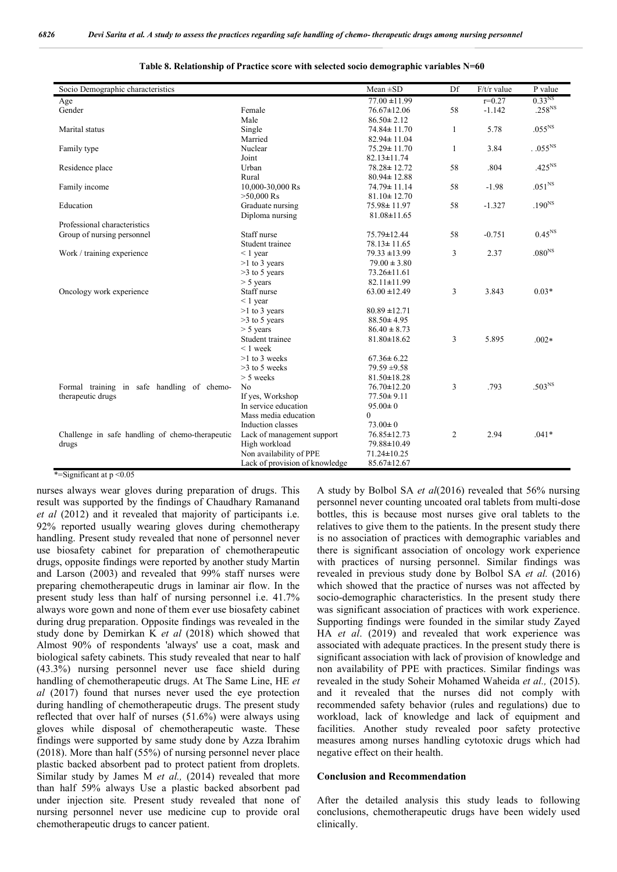| Socio Demographic characteristics               |                                | $Mean \pm SD$     | Df             | $F/t/r$ value | P value            |
|-------------------------------------------------|--------------------------------|-------------------|----------------|---------------|--------------------|
| Age                                             |                                | $77.00 \pm 11.99$ |                | $r=0.27$      | 0.33 <sup>NS</sup> |
| Gender                                          | Female                         | $76.67 \pm 12.06$ | 58             | $-1.142$      | .258 <sup>NS</sup> |
|                                                 | Male                           | $86.50 \pm 2.12$  |                |               |                    |
| Marital status                                  | Single                         | 74.84±11.70       | $\mathbf{1}$   | 5.78          | .055 <sup>NS</sup> |
|                                                 | Married                        | $82.94 \pm 11.04$ |                |               |                    |
| Family type                                     | Nuclear                        | $75.29 \pm 11.70$ | $\mathbf{1}$   | 3.84          | $.055^{\rm NS}$    |
|                                                 | Joint                          | $82.13 \pm 11.74$ |                |               |                    |
| Residence place                                 | Urban                          | 78.28 ± 12.72     | 58             | .804          | .425 <sup>NS</sup> |
|                                                 | Rural                          | $80.94 \pm 12.88$ |                |               |                    |
| Family income                                   | 10,000-30,000 Rs               | 74.79 ± 11.14     | 58             | $-1.98$       | $.051^{NS}$        |
|                                                 | $>50,000$ Rs                   | $81.10 \pm 12.70$ |                |               |                    |
| Education                                       | Graduate nursing               | $75.98 \pm 11.97$ | 58             | $-1.327$      | $.190NS$           |
|                                                 | Diploma nursing                | $81.08 \pm 11.65$ |                |               |                    |
| Professional characteristics                    |                                |                   |                |               |                    |
| Group of nursing personnel                      | Staff nurse                    | 75.79±12.44       | 58             | $-0.751$      | $0.45^{\rm NS}$    |
|                                                 | Student trainee                | $78.13 \pm 11.65$ |                |               |                    |
| Work / training experience                      | $\leq 1$ year                  | $79.33 \pm 13.99$ | 3              | 2.37          | .080 <sup>NS</sup> |
|                                                 | $>1$ to 3 years                | $79.00 \pm 3.80$  |                |               |                    |
|                                                 | $>3$ to 5 years                | $73.26 \pm 11.61$ |                |               |                    |
|                                                 | $> 5$ years                    | $82.11 \pm 11.99$ |                |               |                    |
| Oncology work experience                        | Staff nurse                    | $63.00 \pm 12.49$ | 3              | 3.843         | $0.03*$            |
|                                                 | $< 1$ year                     |                   |                |               |                    |
|                                                 | $>1$ to 3 years                | $80.89 \pm 12.71$ |                |               |                    |
|                                                 | $>3$ to 5 years                | $88.50 \pm 4.95$  |                |               |                    |
|                                                 | $> 5$ years                    | $86.40 \pm 8.73$  |                |               |                    |
|                                                 | Student trainee                | $81.80 \pm 18.62$ | 3              | 5.895         | $.002*$            |
|                                                 | $\leq 1$ week                  |                   |                |               |                    |
|                                                 | $>1$ to 3 weeks                | $67.36 \pm 6.22$  |                |               |                    |
|                                                 | $>3$ to 5 weeks                | $79.59 \pm 9.58$  |                |               |                    |
|                                                 | $> 5$ weeks                    | $81.50 \pm 18.28$ |                |               |                    |
| Formal training in safe handling of chemo-      | No                             | $76.70 \pm 12.20$ | 3              | .793          | $.503NS$           |
| therapeutic drugs                               | If yes, Workshop               | $77.50 \pm 9.11$  |                |               |                    |
|                                                 | In service education           | $95.00 \pm 0$     |                |               |                    |
|                                                 | Mass media education           | $\theta$          |                |               |                    |
|                                                 | Induction classes              | $73.00 \pm 0$     |                |               |                    |
| Challenge in safe handling of chemo-therapeutic | Lack of management support     | 76.85±12.73       | $\overline{2}$ | 2.94          | $.041*$            |
| drugs                                           | High workload                  | 79.88±10.49       |                |               |                    |
|                                                 | Non availability of PPE        | $71.24 \pm 10.25$ |                |               |                    |
|                                                 | Lack of provision of knowledge | $85.67 \pm 12.67$ |                |               |                    |

#### **Table 8. Relationship of Practice score with selected socio demographic variables N=60**

\*=Significant at  $p \leq 0.05$ 

nurses always wear gloves during preparation of drugs. This result was supported by the findings of Chaudhary Ramanand *et al* (2012) and it revealed that majority of participants i.e. 92% reported usually wearing gloves during chemotherapy handling. Present study revealed that none of personnel never use biosafety cabinet for preparation of chemotherapeutic drugs, opposite findings were reported by another study Martin and Larson (2003) and revealed that 99% staff nurses were preparing chemotherapeutic drugs in laminar air flow. In the present study less than half of nursing personnel i.e. 41.7% always wore gown and none of them ever use biosafety cabinet during drug preparation. Opposite findings was revealed in the study done by Demirkan K *et al* (2018) which showed that Almost 90% of respondents 'always' use a coat, mask and biological safety cabinets. This study revealed that near to half (43.3%) nursing personnel never use face shield during handling of chemotherapeutic drugs. At The Same Line, HE *et al* (2017) found that nurses never used the eye protection during handling of chemotherapeutic drugs. The present study reflected that over half of nurses (51.6%) were always using gloves while disposal of chemotherapeutic waste. These findings were supported by same study done by Azza Ibrahim (2018). More than half (55%) of nursing personnel never place plastic backed absorbent pad to protect patient from droplets. Similar study by James M *et al.*, (2014) revealed that more than half 59% always Use a plastic backed absorbent pad under injection site*.* Present study revealed that none of nursing personnel never use medicine cup to provide oral chemotherapeutic drugs to cancer patient.

A study by Bolbol SA *et al*(2016) revealed that 56% nursing personnel never counting uncoated oral tablets from multi-dose bottles, this is because most nurses give oral tablets to the relatives to give them to the patients. In the present study there is no association of practices with demographic variables and there is significant association of oncology work experience with practices of nursing personnel. Similar findings was revealed in previous study done by Bolbol SA *et al.* (2016) which showed that the practice of nurses was not affected by socio-demographic characteristics. In the present study there was significant association of practices with work experience. Supporting findings were founded in the similar study Zayed HA *et al*. (2019) and revealed that work experience was associated with adequate practices. In the present study there is significant association with lack of provision of knowledge and non availability of PPE with practices. Similar findings was revealed in the study Soheir Mohamed Waheida *et al.,* (2015). and it revealed that the nurses did not comply with recommended safety behavior (rules and regulations) due to workload, lack of knowledge and lack of equipment and facilities. Another study revealed poor safety protective measures among nurses handling cytotoxic drugs which had negative effect on their health.

## **Conclusion and Recommendation**

After the detailed analysis this study leads to following conclusions, chemotherapeutic drugs have been widely used clinically.